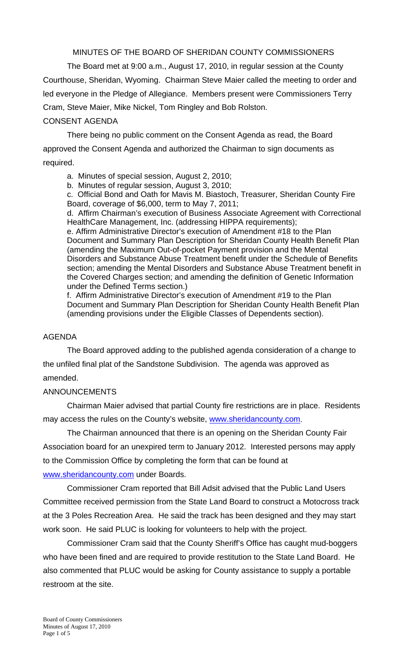MINUTES OF THE BOARD OF SHERIDAN COUNTY COMMISSIONERS

 The Board met at 9:00 a.m., August 17, 2010, in regular session at the County Courthouse, Sheridan, Wyoming. Chairman Steve Maier called the meeting to order and led everyone in the Pledge of Allegiance. Members present were Commissioners Terry Cram, Steve Maier, Mike Nickel, Tom Ringley and Bob Rolston.

### CONSENT AGENDA

There being no public comment on the Consent Agenda as read, the Board approved the Consent Agenda and authorized the Chairman to sign documents as required.

a. Minutes of special session, August 2, 2010;

b. Minutes of regular session, August 3, 2010;

c. Official Bond and Oath for Mavis M. Biastoch, Treasurer, Sheridan County Fire Board, coverage of \$6,000, term to May 7, 2011;

d. Affirm Chairman's execution of Business Associate Agreement with Correctional HealthCare Management, Inc. (addressing HIPPA requirements);

e. Affirm Administrative Director's execution of Amendment #18 to the Plan Document and Summary Plan Description for Sheridan County Health Benefit Plan (amending the Maximum Out-of-pocket Payment provision and the Mental Disorders and Substance Abuse Treatment benefit under the Schedule of Benefits section; amending the Mental Disorders and Substance Abuse Treatment benefit in the Covered Charges section; and amending the definition of Genetic Information under the Defined Terms section.)

f. Affirm Administrative Director's execution of Amendment #19 to the Plan Document and Summary Plan Description for Sheridan County Health Benefit Plan (amending provisions under the Eligible Classes of Dependents section).

#### AGENDA

The Board approved adding to the published agenda consideration of a change to the unfiled final plat of the Sandstone Subdivision. The agenda was approved as amended.

#### ANNOUNCEMENTS

 Chairman Maier advised that partial County fire restrictions are in place. Residents may access the rules on the County's website, www.sheridancounty.com.

 The Chairman announced that there is an opening on the Sheridan County Fair Association board for an unexpired term to January 2012. Interested persons may apply to the Commission Office by completing the form that can be found at www.sheridancounty.com under Boards.

 Commissioner Cram reported that Bill Adsit advised that the Public Land Users Committee received permission from the State Land Board to construct a Motocross track at the 3 Poles Recreation Area. He said the track has been designed and they may start work soon. He said PLUC is looking for volunteers to help with the project.

Commissioner Cram said that the County Sheriff's Office has caught mud-boggers who have been fined and are required to provide restitution to the State Land Board. He also commented that PLUC would be asking for County assistance to supply a portable restroom at the site.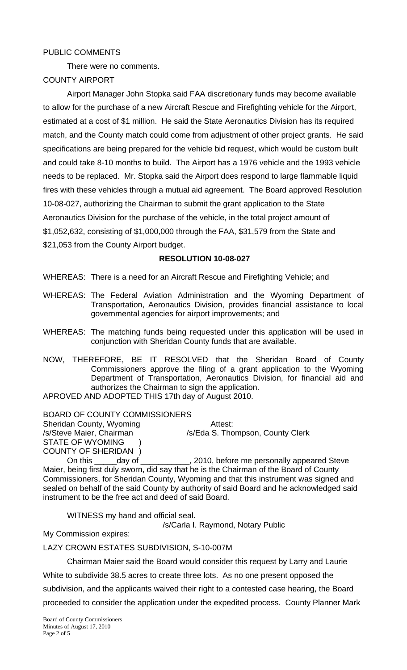## PUBLIC COMMENTS

There were no comments.

## COUNTY AIRPORT

 Airport Manager John Stopka said FAA discretionary funds may become available to allow for the purchase of a new Aircraft Rescue and Firefighting vehicle for the Airport, estimated at a cost of \$1 million. He said the State Aeronautics Division has its required match, and the County match could come from adjustment of other project grants. He said specifications are being prepared for the vehicle bid request, which would be custom built and could take 8-10 months to build. The Airport has a 1976 vehicle and the 1993 vehicle needs to be replaced. Mr. Stopka said the Airport does respond to large flammable liquid fires with these vehicles through a mutual aid agreement. The Board approved Resolution 10-08-027, authorizing the Chairman to submit the grant application to the State Aeronautics Division for the purchase of the vehicle, in the total project amount of \$1,052,632, consisting of \$1,000,000 through the FAA, \$31,579 from the State and \$21,053 from the County Airport budget.

### **RESOLUTION 10-08-027**

WHEREAS: There is a need for an Aircraft Rescue and Firefighting Vehicle; and

- WHEREAS: The Federal Aviation Administration and the Wyoming Department of Transportation, Aeronautics Division, provides financial assistance to local governmental agencies for airport improvements; and
- WHEREAS: The matching funds being requested under this application will be used in conjunction with Sheridan County funds that are available.
- NOW, THEREFORE, BE IT RESOLVED that the Sheridan Board of County Commissioners approve the filing of a grant application to the Wyoming Department of Transportation, Aeronautics Division, for financial aid and authorizes the Chairman to sign the application.

APROVED AND ADOPTED THIS 17th day of August 2010.

BOARD OF COUNTY COMMISSIONERS Sheridan County, Wyoming **Attest:** /s/Steve Maier, Chairman / /s/Eda S. Thompson, County Clerk STATE OF WYOMING COUNTY OF SHERIDAN )<br>
On this <u>\_\_\_\_</u>day of \_

On this \_\_\_\_\_day of \_\_\_\_\_\_\_\_\_\_, 2010, before me personally appeared Steve Maier, being first duly sworn, did say that he is the Chairman of the Board of County Commissioners, for Sheridan County, Wyoming and that this instrument was signed and sealed on behalf of the said County by authority of said Board and he acknowledged said instrument to be the free act and deed of said Board.

WITNESS my hand and official seal.

/s/Carla I. Raymond, Notary Public

My Commission expires:

LAZY CROWN ESTATES SUBDIVISION, S-10-007M

Chairman Maier said the Board would consider this request by Larry and Laurie

White to subdivide 38.5 acres to create three lots. As no one present opposed the subdivision, and the applicants waived their right to a contested case hearing, the Board proceeded to consider the application under the expedited process. County Planner Mark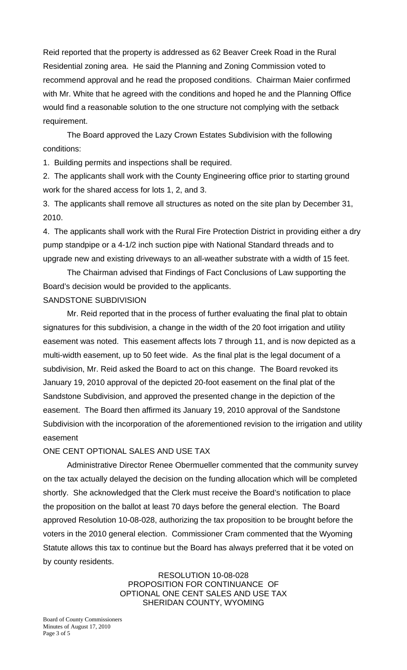Reid reported that the property is addressed as 62 Beaver Creek Road in the Rural Residential zoning area. He said the Planning and Zoning Commission voted to recommend approval and he read the proposed conditions. Chairman Maier confirmed with Mr. White that he agreed with the conditions and hoped he and the Planning Office would find a reasonable solution to the one structure not complying with the setback requirement.

 The Board approved the Lazy Crown Estates Subdivision with the following conditions:

1. Building permits and inspections shall be required.

2. The applicants shall work with the County Engineering office prior to starting ground work for the shared access for lots 1, 2, and 3.

3. The applicants shall remove all structures as noted on the site plan by December 31, 2010.

4. The applicants shall work with the Rural Fire Protection District in providing either a dry pump standpipe or a 4-1/2 inch suction pipe with National Standard threads and to upgrade new and existing driveways to an all-weather substrate with a width of 15 feet.

 The Chairman advised that Findings of Fact Conclusions of Law supporting the Board's decision would be provided to the applicants.

## SANDSTONE SUBDIVISION

 Mr. Reid reported that in the process of further evaluating the final plat to obtain signatures for this subdivision, a change in the width of the 20 foot irrigation and utility easement was noted. This easement affects lots 7 through 11, and is now depicted as a multi-width easement, up to 50 feet wide. As the final plat is the legal document of a subdivision, Mr. Reid asked the Board to act on this change. The Board revoked its January 19, 2010 approval of the depicted 20-foot easement on the final plat of the Sandstone Subdivision, and approved the presented change in the depiction of the easement. The Board then affirmed its January 19, 2010 approval of the Sandstone Subdivision with the incorporation of the aforementioned revision to the irrigation and utility easement

## ONE CENT OPTIONAL SALES AND USE TAX

 Administrative Director Renee Obermueller commented that the community survey on the tax actually delayed the decision on the funding allocation which will be completed shortly. She acknowledged that the Clerk must receive the Board's notification to place the proposition on the ballot at least 70 days before the general election. The Board approved Resolution 10-08-028, authorizing the tax proposition to be brought before the voters in the 2010 general election. Commissioner Cram commented that the Wyoming Statute allows this tax to continue but the Board has always preferred that it be voted on by county residents.

> RESOLUTION 10-08-028 PROPOSITION FOR CONTINUANCE OF OPTIONAL ONE CENT SALES AND USE TAX SHERIDAN COUNTY, WYOMING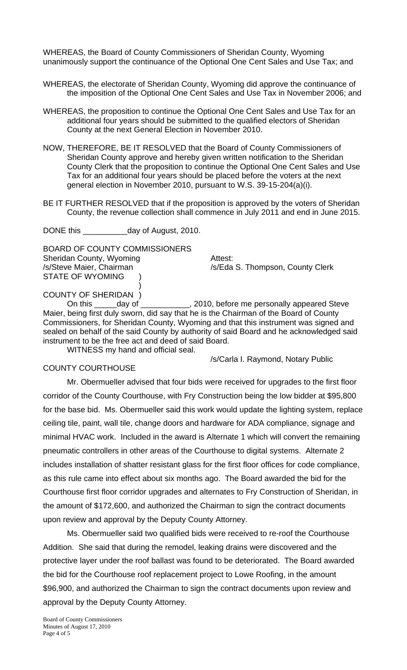WHEREAS, the Board of County Commissioners of Sheridan County, Wyoming unanimously support the continuance of the Optional One Cent Sales and Use Tax; and

- WHEREAS, the electorate of Sheridan County, Wyoming did approve the continuance of the imposition of the Optional One Cent Sales and Use Tax in November 2006; and
- WHEREAS, the proposition to continue the Optional One Cent Sales and Use Tax for an additional four years should be submitted to the qualified electors of Sheridan County at the next General Election in November 2010.
- NOW, THEREFORE, BE IT RESOLVED that the Board of County Commissioners of Sheridan County approve and hereby given written notification to the Sheridan County Clerk that the proposition to continue the Optional One Cent Sales and Use Tax for an additional four years should be placed before the voters at the next general election in November 2010, pursuant to W.S. 39-15-204(a)(i).
- BE IT FURTHER RESOLVED that if the proposition is approved by the voters of Sheridan County, the revenue collection shall commence in July 2011 and end in June 2015.

DONE this \_\_\_\_\_\_\_\_\_\_day of August, 2010.

BOARD OF COUNTY COMMISSIONERS Sheridan County, Wyoming **Attest:** /s/Steve Maier, Chairman /s/Eda S. Thompson, County Clerk STATE OF WYOMING  $\overline{\phantom{a}}$ 

/s/Carla I. Raymond, Notary Public

COUNTY OF SHERIDAN )<br>On this <u>\_\_\_\_</u>day of \_

 On this \_\_\_\_\_day of \_\_\_\_\_\_\_\_\_\_\_, 2010, before me personally appeared Steve Maier, being first duly sworn, did say that he is the Chairman of the Board of County Commissioners, for Sheridan County, Wyoming and that this instrument was signed and sealed on behalf of the said County by authority of said Board and he acknowledged said instrument to be the free act and deed of said Board.

WITNESS my hand and official seal.

#### COUNTY COURTHOUSE

 Mr. Obermueller advised that four bids were received for upgrades to the first floor corridor of the County Courthouse, with Fry Construction being the low bidder at \$95,800 for the base bid. Ms. Obermueller said this work would update the lighting system, replace ceiling tile, paint, wall tile, change doors and hardware for ADA compliance, signage and minimal HVAC work. Included in the award is Alternate 1 which will convert the remaining pneumatic controllers in other areas of the Courthouse to digital systems. Alternate 2 includes installation of shatter resistant glass for the first floor offices for code compliance, as this rule came into effect about six months ago. The Board awarded the bid for the Courthouse first floor corridor upgrades and alternates to Fry Construction of Sheridan, in the amount of \$172,600, and authorized the Chairman to sign the contract documents upon review and approval by the Deputy County Attorney.

Ms. Obermueller said two qualified bids were received to re-roof the Courthouse Addition. She said that during the remodel, leaking drains were discovered and the protective layer under the roof ballast was found to be deteriorated. The Board awarded the bid for the Courthouse roof replacement project to Lowe Roofing, in the amount \$96,900, and authorized the Chairman to sign the contract documents upon review and approval by the Deputy County Attorney.